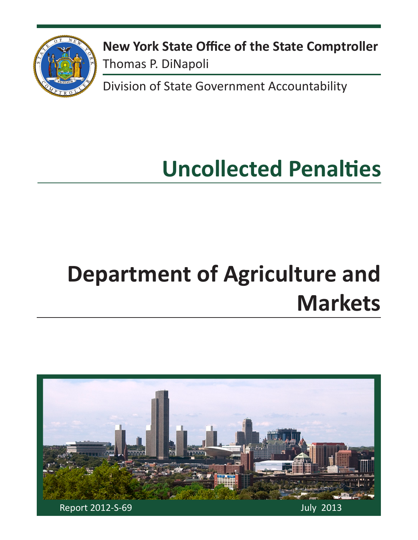

**New York State Office of the State Comptroller** Thomas P. DiNapoli

Division of State Government Accountability

# **Uncollected Penalties**

# **Department of Agriculture and Markets**

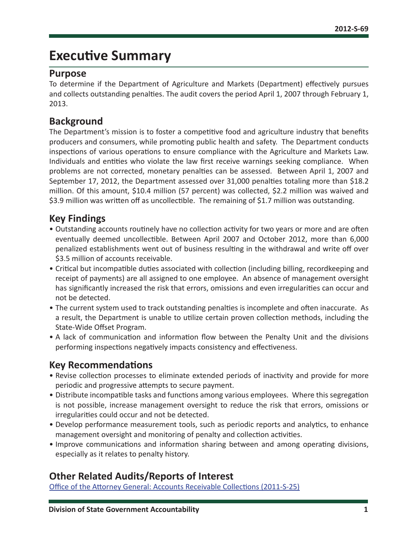# **Executive Summary**

### **Purpose**

To determine if the Department of Agriculture and Markets (Department) effectively pursues and collects outstanding penalties. The audit covers the period April 1, 2007 through February 1, 2013.

### **Background**

The Department's mission is to foster a competitive food and agriculture industry that benefits producers and consumers, while promoting public health and safety. The Department conducts inspections of various operations to ensure compliance with the Agriculture and Markets Law. Individuals and entities who violate the law first receive warnings seeking compliance. When problems are not corrected, monetary penalties can be assessed. Between April 1, 2007 and September 17, 2012, the Department assessed over 31,000 penalties totaling more than \$18.2 million. Of this amount, \$10.4 million (57 percent) was collected, \$2.2 million was waived and \$3.9 million was written off as uncollectible. The remaining of \$1.7 million was outstanding.

### **Key Findings**

- Outstanding accounts routinely have no collection activity for two years or more and are often eventually deemed uncollectible. Between April 2007 and October 2012, more than 6,000 penalized establishments went out of business resulting in the withdrawal and write off over \$3.5 million of accounts receivable.
- Critical but incompatible duties associated with collection (including billing, recordkeeping and receipt of payments) are all assigned to one employee. An absence of management oversight has significantly increased the risk that errors, omissions and even irregularities can occur and not be detected.
- The current system used to track outstanding penalties is incomplete and often inaccurate. As a result, the Department is unable to utilize certain proven collection methods, including the State-Wide Offset Program.
- A lack of communication and information flow between the Penalty Unit and the divisions performing inspections negatively impacts consistency and effectiveness.

### **Key Recommendations**

- Revise collection processes to eliminate extended periods of inactivity and provide for more periodic and progressive attempts to secure payment.
- Distribute incompatible tasks and functions among various employees. Where this segregation is not possible, increase management oversight to reduce the risk that errors, omissions or irregularities could occur and not be detected.
- Develop performance measurement tools, such as periodic reports and analytics, to enhance management oversight and monitoring of penalty and collection activities.
- Improve communications and information sharing between and among operating divisions, especially as it relates to penalty history.

# **Other Related Audits/Reports of Interest**

[Office of the Attorney General: Accounts Receivable Collections \(2011-S-25\)](http://osc.state.ny.us/audits/allaudits/093013/11s25.pdf)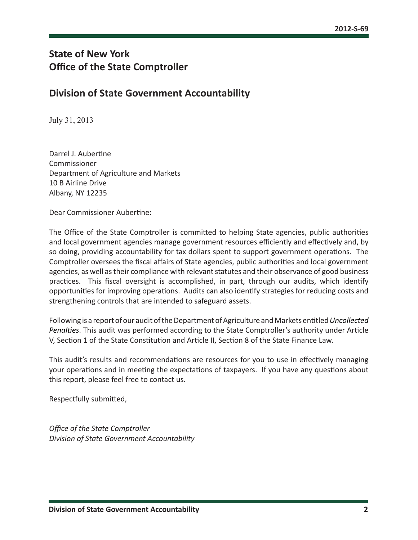# **State of New York Office of the State Comptroller**

### **Division of State Government Accountability**

July 31, 2013

Darrel J. Aubertine Commissioner Department of Agriculture and Markets 10 B Airline Drive Albany, NY 12235

Dear Commissioner Aubertine:

The Office of the State Comptroller is committed to helping State agencies, public authorities and local government agencies manage government resources efficiently and effectively and, by so doing, providing accountability for tax dollars spent to support government operations. The Comptroller oversees the fiscal affairs of State agencies, public authorities and local government agencies, as well as their compliance with relevant statutes and their observance of good business practices. This fiscal oversight is accomplished, in part, through our audits, which identify opportunities for improving operations. Audits can also identify strategies for reducing costs and strengthening controls that are intended to safeguard assets.

Following is a report of our audit of the Department of Agriculture and Markets entitled *Uncollected Penalties*. This audit was performed according to the State Comptroller's authority under Article V, Section 1 of the State Constitution and Article II, Section 8 of the State Finance Law.

This audit's results and recommendations are resources for you to use in effectively managing your operations and in meeting the expectations of taxpayers. If you have any questions about this report, please feel free to contact us.

Respectfully submitted,

*Office of the State Comptroller Division of State Government Accountability*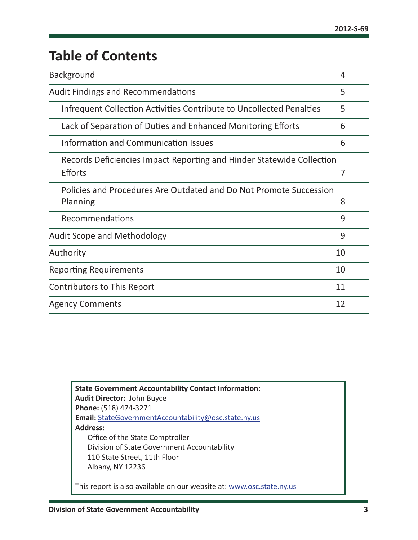# **Table of Contents**

| <b>Background</b>                                                     | 4  |
|-----------------------------------------------------------------------|----|
| <b>Audit Findings and Recommendations</b>                             | 5  |
| Infrequent Collection Activities Contribute to Uncollected Penalties  | 5  |
| Lack of Separation of Duties and Enhanced Monitoring Efforts          | 6  |
| Information and Communication Issues                                  | 6  |
| Records Deficiencies Impact Reporting and Hinder Statewide Collection |    |
| <b>Efforts</b>                                                        | 7  |
| Policies and Procedures Are Outdated and Do Not Promote Succession    |    |
| Planning                                                              | 8  |
| Recommendations                                                       | 9  |
| <b>Audit Scope and Methodology</b>                                    | 9  |
| Authority                                                             | 10 |
| <b>Reporting Requirements</b>                                         | 10 |
| Contributors to This Report                                           | 11 |
| <b>Agency Comments</b>                                                | 12 |

**State Government Accountability Contact Information: Audit Director:** John Buyce **Phone:** (518) 474-3271 **Email:** [StateGovernmentAccountability@osc.state.ny.us](mailto:StateGovernmentAccountability%40osc.state.ny.us?subject=) **Address:** Office of the State Comptroller Division of State Government Accountability 110 State Street, 11th Floor Albany, NY 12236 This report is also available on our website at: [www.osc.state.ny.us](http://www.osc.state.ny.us)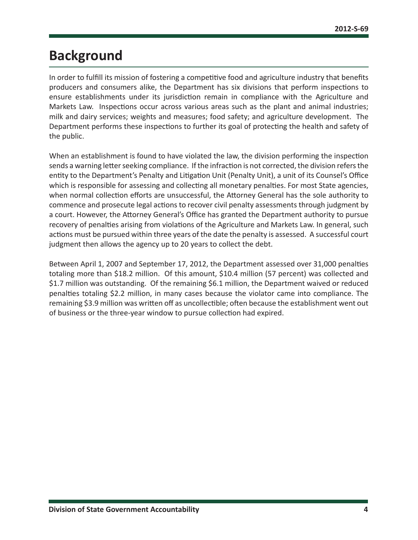# <span id="page-4-0"></span>**Background**

In order to fulfill its mission of fostering a competitive food and agriculture industry that benefits producers and consumers alike, the Department has six divisions that perform inspections to ensure establishments under its jurisdiction remain in compliance with the Agriculture and Markets Law. Inspections occur across various areas such as the plant and animal industries; milk and dairy services; weights and measures; food safety; and agriculture development. The Department performs these inspections to further its goal of protecting the health and safety of the public.

When an establishment is found to have violated the law, the division performing the inspection sends a warning letter seeking compliance. If the infraction is not corrected, the division refers the entity to the Department's Penalty and Litigation Unit (Penalty Unit), a unit of its Counsel's Office which is responsible for assessing and collecting all monetary penalties. For most State agencies, when normal collection efforts are unsuccessful, the Attorney General has the sole authority to commence and prosecute legal actions to recover civil penalty assessments through judgment by a court. However, the Attorney General's Office has granted the Department authority to pursue recovery of penalties arising from violations of the Agriculture and Markets Law. In general, such actions must be pursued within three years of the date the penalty is assessed. A successful court judgment then allows the agency up to 20 years to collect the debt.

Between April 1, 2007 and September 17, 2012, the Department assessed over 31,000 penalties totaling more than \$18.2 million. Of this amount, \$10.4 million (57 percent) was collected and \$1.7 million was outstanding. Of the remaining \$6.1 million, the Department waived or reduced penalties totaling \$2.2 million, in many cases because the violator came into compliance. The remaining \$3.9 million was written off as uncollectible; often because the establishment went out of business or the three-year window to pursue collection had expired.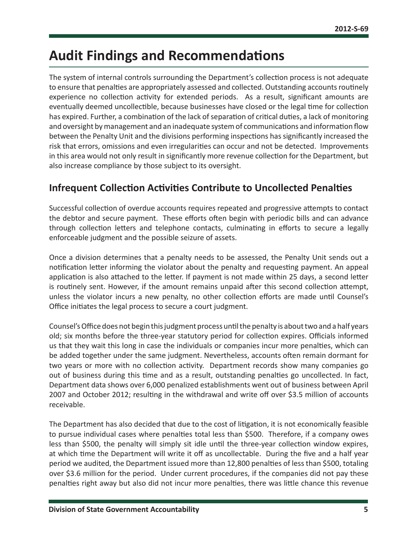# <span id="page-5-0"></span>**Audit Findings and Recommendations**

The system of internal controls surrounding the Department's collection process is not adequate to ensure that penalties are appropriately assessed and collected. Outstanding accounts routinely experience no collection activity for extended periods. As a result, significant amounts are eventually deemed uncollectible, because businesses have closed or the legal time for collection has expired. Further, a combination of the lack of separation of critical duties, a lack of monitoring and oversight by management and an inadequate system of communications and information flow between the Penalty Unit and the divisions performing inspections has significantly increased the risk that errors, omissions and even irregularities can occur and not be detected. Improvements in this area would not only result in significantly more revenue collection for the Department, but also increase compliance by those subject to its oversight.

### **Infrequent Collection Activities Contribute to Uncollected Penalties**

Successful collection of overdue accounts requires repeated and progressive attempts to contact the debtor and secure payment. These efforts often begin with periodic bills and can advance through collection letters and telephone contacts, culminating in efforts to secure a legally enforceable judgment and the possible seizure of assets.

Once a division determines that a penalty needs to be assessed, the Penalty Unit sends out a notification letter informing the violator about the penalty and requesting payment. An appeal application is also attached to the letter. If payment is not made within 25 days, a second letter is routinely sent. However, if the amount remains unpaid after this second collection attempt, unless the violator incurs a new penalty, no other collection efforts are made until Counsel's Office initiates the legal process to secure a court judgment.

Counsel's Office does not begin this judgment process until the penalty is about two and a half years old; six months before the three-year statutory period for collection expires. Officials informed us that they wait this long in case the individuals or companies incur more penalties, which can be added together under the same judgment. Nevertheless, accounts often remain dormant for two years or more with no collection activity. Department records show many companies go out of business during this time and as a result, outstanding penalties go uncollected. In fact, Department data shows over 6,000 penalized establishments went out of business between April 2007 and October 2012; resulting in the withdrawal and write off over \$3.5 million of accounts receivable.

The Department has also decided that due to the cost of litigation, it is not economically feasible to pursue individual cases where penalties total less than \$500. Therefore, if a company owes less than \$500, the penalty will simply sit idle until the three-year collection window expires, at which time the Department will write it off as uncollectable. During the five and a half year period we audited, the Department issued more than 12,800 penalties of less than \$500, totaling over \$3.6 million for the period. Under current procedures, if the companies did not pay these penalties right away but also did not incur more penalties, there was little chance this revenue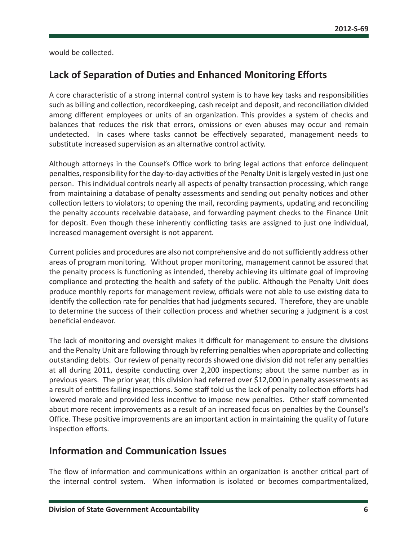<span id="page-6-0"></span>would be collected.

### **Lack of Separation of Duties and Enhanced Monitoring Efforts**

A core characteristic of a strong internal control system is to have key tasks and responsibilities such as billing and collection, recordkeeping, cash receipt and deposit, and reconciliation divided among different employees or units of an organization. This provides a system of checks and balances that reduces the risk that errors, omissions or even abuses may occur and remain undetected. In cases where tasks cannot be effectively separated, management needs to substitute increased supervision as an alternative control activity.

Although attorneys in the Counsel's Office work to bring legal actions that enforce delinquent penalties, responsibility for the day-to-day activities of the Penalty Unit is largely vested in just one person. This individual controls nearly all aspects of penalty transaction processing, which range from maintaining a database of penalty assessments and sending out penalty notices and other collection letters to violators; to opening the mail, recording payments, updating and reconciling the penalty accounts receivable database, and forwarding payment checks to the Finance Unit for deposit. Even though these inherently conflicting tasks are assigned to just one individual, increased management oversight is not apparent.

Current policies and procedures are also not comprehensive and do not sufficiently address other areas of program monitoring. Without proper monitoring, management cannot be assured that the penalty process is functioning as intended, thereby achieving its ultimate goal of improving compliance and protecting the health and safety of the public. Although the Penalty Unit does produce monthly reports for management review, officials were not able to use existing data to identify the collection rate for penalties that had judgments secured. Therefore, they are unable to determine the success of their collection process and whether securing a judgment is a cost beneficial endeavor.

The lack of monitoring and oversight makes it difficult for management to ensure the divisions and the Penalty Unit are following through by referring penalties when appropriate and collecting outstanding debts. Our review of penalty records showed one division did not refer any penalties at all during 2011, despite conducting over 2,200 inspections; about the same number as in previous years. The prior year, this division had referred over \$12,000 in penalty assessments as a result of entities failing inspections. Some staff told us the lack of penalty collection efforts had lowered morale and provided less incentive to impose new penalties. Other staff commented about more recent improvements as a result of an increased focus on penalties by the Counsel's Office. These positive improvements are an important action in maintaining the quality of future inspection efforts.

### **Information and Communication Issues**

The flow of information and communications within an organization is another critical part of the internal control system. When information is isolated or becomes compartmentalized,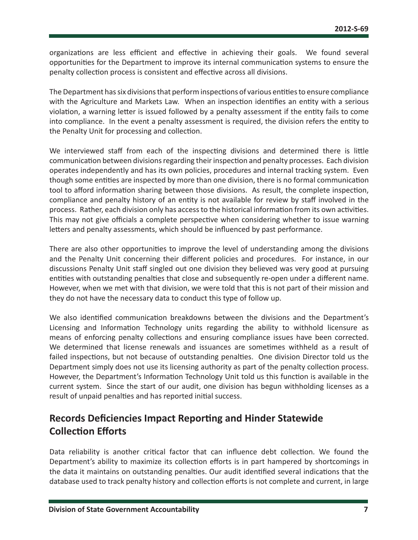<span id="page-7-0"></span>organizations are less efficient and effective in achieving their goals. We found several opportunities for the Department to improve its internal communication systems to ensure the penalty collection process is consistent and effective across all divisions.

The Department has six divisions that perform inspections of various entities to ensure compliance with the Agriculture and Markets Law. When an inspection identifies an entity with a serious violation, a warning letter is issued followed by a penalty assessment if the entity fails to come into compliance. In the event a penalty assessment is required, the division refers the entity to the Penalty Unit for processing and collection.

We interviewed staff from each of the inspecting divisions and determined there is little communication between divisions regarding their inspection and penalty processes. Each division operates independently and has its own policies, procedures and internal tracking system. Even though some entities are inspected by more than one division, there is no formal communication tool to afford information sharing between those divisions. As result, the complete inspection, compliance and penalty history of an entity is not available for review by staff involved in the process. Rather, each division only has access to the historical information from its own activities. This may not give officials a complete perspective when considering whether to issue warning letters and penalty assessments, which should be influenced by past performance.

There are also other opportunities to improve the level of understanding among the divisions and the Penalty Unit concerning their different policies and procedures. For instance, in our discussions Penalty Unit staff singled out one division they believed was very good at pursuing entities with outstanding penalties that close and subsequently re-open under a different name. However, when we met with that division, we were told that this is not part of their mission and they do not have the necessary data to conduct this type of follow up.

We also identified communication breakdowns between the divisions and the Department's Licensing and Information Technology units regarding the ability to withhold licensure as means of enforcing penalty collections and ensuring compliance issues have been corrected. We determined that license renewals and issuances are sometimes withheld as a result of failed inspections, but not because of outstanding penalties. One division Director told us the Department simply does not use its licensing authority as part of the penalty collection process. However, the Department's Information Technology Unit told us this function is available in the current system. Since the start of our audit, one division has begun withholding licenses as a result of unpaid penalties and has reported initial success.

# **Records Deficiencies Impact Reporting and Hinder Statewide Collection Efforts**

Data reliability is another critical factor that can influence debt collection. We found the Department's ability to maximize its collection efforts is in part hampered by shortcomings in the data it maintains on outstanding penalties. Our audit identified several indications that the database used to track penalty history and collection efforts is not complete and current, in large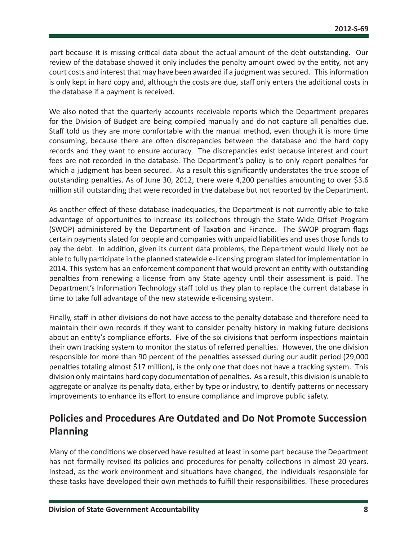<span id="page-8-0"></span>part because it is missing critical data about the actual amount of the debt outstanding. Our review of the database showed it only includes the penalty amount owed by the entity, not any court costs and interest that may have been awarded if a judgment was secured. This information is only kept in hard copy and, although the costs are due, staff only enters the additional costs in the database if a payment is received.

We also noted that the quarterly accounts receivable reports which the Department prepares for the Division of Budget are being compiled manually and do not capture all penalties due. Staff told us they are more comfortable with the manual method, even though it is more time consuming, because there are often discrepancies between the database and the hard copy records and they want to ensure accuracy. The discrepancies exist because interest and court fees are not recorded in the database. The Department's policy is to only report penalties for which a judgment has been secured. As a result this significantly understates the true scope of outstanding penalties. As of June 30, 2012, there were 4,200 penalties amounting to over \$3.6 million still outstanding that were recorded in the database but not reported by the Department.

As another effect of these database inadequacies, the Department is not currently able to take advantage of opportunities to increase its collections through the State-Wide Offset Program (SWOP) administered by the Department of Taxation and Finance. The SWOP program flags certain payments slated for people and companies with unpaid liabilities and uses those funds to pay the debt. In addition, given its current data problems, the Department would likely not be able to fully participate in the planned statewide e-licensing program slated for implementation in 2014. This system has an enforcement component that would prevent an entity with outstanding penalties from renewing a license from any State agency until their assessment is paid. The Department's Information Technology staff told us they plan to replace the current database in time to take full advantage of the new statewide e-licensing system.

Finally, staff in other divisions do not have access to the penalty database and therefore need to maintain their own records if they want to consider penalty history in making future decisions about an entity's compliance efforts. Five of the six divisions that perform inspections maintain their own tracking system to monitor the status of referred penalties. However, the one division responsible for more than 90 percent of the penalties assessed during our audit period (29,000 penalties totaling almost \$17 million), is the only one that does not have a tracking system. This division only maintains hard copy documentation of penalties. As a result, this division is unable to aggregate or analyze its penalty data, either by type or industry, to identify patterns or necessary improvements to enhance its effort to ensure compliance and improve public safety.

# **Policies and Procedures Are Outdated and Do Not Promote Succession Planning**

Many of the conditions we observed have resulted at least in some part because the Department has not formally revised its policies and procedures for penalty collections in almost 20 years. Instead, as the work environment and situations have changed, the individuals responsible for these tasks have developed their own methods to fulfill their responsibilities. These procedures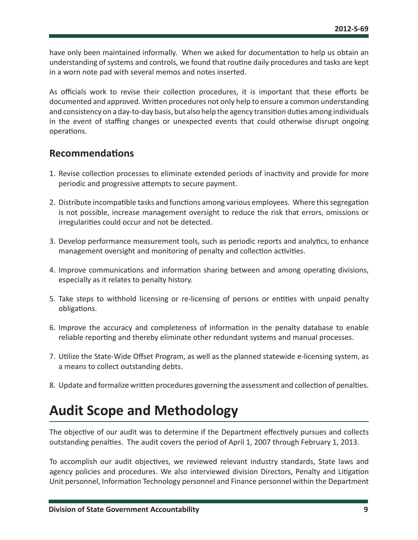<span id="page-9-0"></span>have only been maintained informally. When we asked for documentation to help us obtain an understanding of systems and controls, we found that routine daily procedures and tasks are kept in a worn note pad with several memos and notes inserted.

As officials work to revise their collection procedures, it is important that these efforts be documented and approved. Written procedures not only help to ensure a common understanding and consistency on a day-to-day basis, but also help the agency transition duties among individuals in the event of staffing changes or unexpected events that could otherwise disrupt ongoing operations.

### **Recommendations**

- 1. Revise collection processes to eliminate extended periods of inactivity and provide for more periodic and progressive attempts to secure payment.
- 2. Distribute incompatible tasks and functions among various employees. Where this segregation is not possible, increase management oversight to reduce the risk that errors, omissions or irregularities could occur and not be detected.
- 3. Develop performance measurement tools, such as periodic reports and analytics, to enhance management oversight and monitoring of penalty and collection activities.
- 4. Improve communications and information sharing between and among operating divisions, especially as it relates to penalty history.
- 5. Take steps to withhold licensing or re-licensing of persons or entities with unpaid penalty obligations.
- 6. Improve the accuracy and completeness of information in the penalty database to enable reliable reporting and thereby eliminate other redundant systems and manual processes.
- 7. Utilize the State-Wide Offset Program, as well as the planned statewide e-licensing system, as a means to collect outstanding debts.
- 8. Update and formalize written procedures governing the assessment and collection of penalties.

# **Audit Scope and Methodology**

The objective of our audit was to determine if the Department effectively pursues and collects outstanding penalties. The audit covers the period of April 1, 2007 through February 1, 2013.

To accomplish our audit objectives, we reviewed relevant industry standards, State laws and agency policies and procedures. We also interviewed division Directors, Penalty and Litigation Unit personnel, Information Technology personnel and Finance personnel within the Department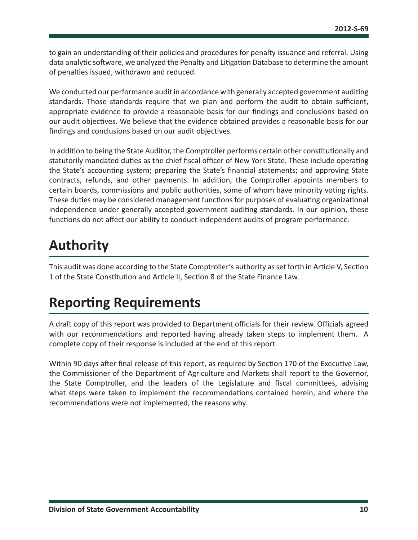<span id="page-10-0"></span>to gain an understanding of their policies and procedures for penalty issuance and referral. Using data analytic software, we analyzed the Penalty and Litigation Database to determine the amount of penalties issued, withdrawn and reduced.

We conducted our performance audit in accordance with generally accepted government auditing standards. Those standards require that we plan and perform the audit to obtain sufficient, appropriate evidence to provide a reasonable basis for our findings and conclusions based on our audit objectives. We believe that the evidence obtained provides a reasonable basis for our findings and conclusions based on our audit objectives.

In addition to being the State Auditor, the Comptroller performs certain other constitutionally and statutorily mandated duties as the chief fiscal officer of New York State. These include operating the State's accounting system; preparing the State's financial statements; and approving State contracts, refunds, and other payments. In addition, the Comptroller appoints members to certain boards, commissions and public authorities, some of whom have minority voting rights. These duties may be considered management functions for purposes of evaluating organizational independence under generally accepted government auditing standards. In our opinion, these functions do not affect our ability to conduct independent audits of program performance.

# **Authority**

This audit was done according to the State Comptroller's authority as set forth in Article V, Section 1 of the State Constitution and Article II, Section 8 of the State Finance Law.

# **Reporting Requirements**

A draft copy of this report was provided to Department officials for their review. Officials agreed with our recommendations and reported having already taken steps to implement them. A complete copy of their response is included at the end of this report.

Within 90 days after final release of this report, as required by Section 170 of the Executive Law, the Commissioner of the Department of Agriculture and Markets shall report to the Governor, the State Comptroller, and the leaders of the Legislature and fiscal committees, advising what steps were taken to implement the recommendations contained herein, and where the recommendations were not implemented, the reasons why.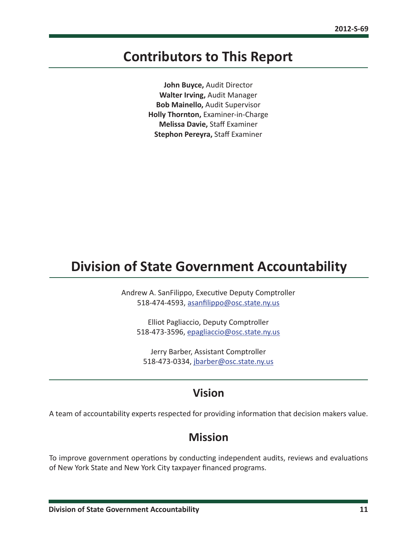# <span id="page-11-0"></span>**Contributors to This Report**

**John Buyce,** Audit Director **Walter Irving,** Audit Manager **Bob Mainello,** Audit Supervisor **Holly Thornton,** Examiner-in-Charge **Melissa Davie,** Staff Examiner **Stephon Pereyra,** Staff Examiner

# **Division of State Government Accountability**

Andrew A. SanFilippo, Executive Deputy Comptroller 518-474-4593, [asanfilippo@osc.state.ny.us](mailto:asanfilippo%40osc.state.ny.us%0D?subject=)

Elliot Pagliaccio, Deputy Comptroller 518-473-3596, [epagliaccio@osc.state.ny.us](mailto:epagliaccio%40osc.state.ny.us?subject=)

Jerry Barber, Assistant Comptroller 518-473-0334, [jbarber@osc.state.ny.us](mailto:jbarber%40osc.state.ny.us?subject=)

# **Vision**

A team of accountability experts respected for providing information that decision makers value.

### **Mission**

To improve government operations by conducting independent audits, reviews and evaluations of New York State and New York City taxpayer financed programs.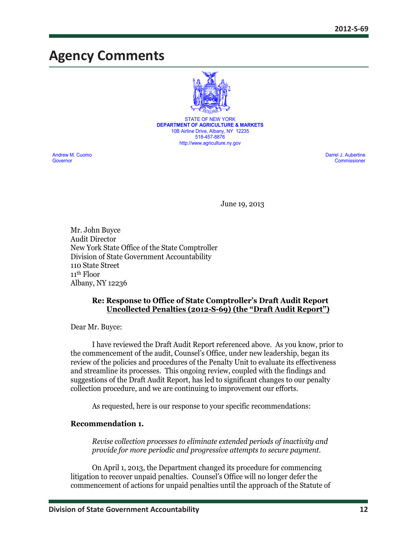# <span id="page-12-0"></span>**Agency Comments**



STATE OF NEW YORK **DEPARTMENT OF AGRICULTURE & MARKETS** 10B Airline Drive, Albany, NY 12235 518-457-8876 http://www.agriculture.ny.gov

Andrew M. Cuomo Darrel J. Aubertine<br>
Contra Commissioner Commissioner Commissioner Commissioner Commissioner Commissioner Commissioner Commissione Governor Commissioner

June 19, 2013

Mr. John Buyce Audit Director New York State Office of the State Comptroller Division of State Government Accountability 110 State Street 11th Floor Albany, NY 12236

#### **Re: Response to Office of State Comptroller's Draft Audit Report Uncollected Penalties (2012-S-69) (the "Draft Audit Report")**

Dear Mr. Buyce:

I have reviewed the Draft Audit Report referenced above. As you know, prior to the commencement of the audit, Counsel's Office, under new leadership, began its review of the policies and procedures of the Penalty Unit to evaluate its effectiveness and streamline its processes. This ongoing review, coupled with the findings and suggestions of the Draft Audit Report, has led to significant changes to our penalty collection procedure, and we are continuing to improvement our efforts.

As requested, here is our response to your specific recommendations:

#### **Recommendation 1.**

*Revise collection processes to eliminate extended periods of inactivity and provide for more periodic and progressive attempts to secure payment.*

On April 1, 2013, the Department changed its procedure for commencing litigation to recover unpaid penalties. Counsel's Office will no longer defer the commencement of actions for unpaid penalties until the approach of the Statute of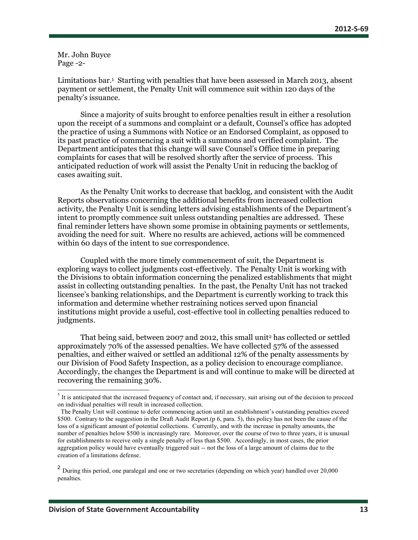Mr. John Buyce Page -2-

Limitations bar.<sup>1</sup> Starting with penalties that have been assessed in March 2013, absent payment or settlement, the Penalty Unit will commence suit within 120 days of the penalty's issuance.

Since a majority of suits brought to enforce penalties result in either a resolution upon the receipt of a summons and complaint or a default, Counsel's office has adopted the practice of using a Summons with Notice or an Endorsed Complaint, as opposed to its past practice of commencing a suit with a summons and verified complaint. The Department anticipates that this change will save Counsel's Office time in preparing complaints for cases that will be resolved shortly after the service of process. This anticipated reduction of work will assist the Penalty Unit in reducing the backlog of cases awaiting suit.

As the Penalty Unit works to decrease that backlog, and consistent with the Audit Reports observations concerning the additional benefits from increased collection activity, the Penalty Unit is sending letters advising establishments of the Department's intent to promptly commence suit unless outstanding penalties are addressed. These final reminder letters have shown some promise in obtaining payments or settlements, avoiding the need for suit. Where no results are achieved, actions will be commenced within 60 days of the intent to sue correspondence.

Coupled with the more timely commencement of suit, the Department is exploring ways to collect judgments cost-effectively. The Penalty Unit is working with the Divisions to obtain information concerning the penalized establishments that might assist in collecting outstanding penalties. In the past, the Penalty Unit has not tracked licensee's banking relationships, and the Department is currently working to track this information and determine whether restraining notices served upon financial institutions might provide a useful, cost-effective tool in collecting penalties reduced to judgments.

That being said, between 2007 and 2012, this small unit<sup>2</sup> has collected or settled approximately 70% of the assessed penalties. We have collected 57% of the assessed penalties, and either waived or settled an additional 12% of the penalty assessments by our Division of Food Safety Inspection, as a policy decision to encourage compliance. Accordingly, the changes the Department is and will continue to make will be directed at recovering the remaining 30%.

<sup>&</sup>lt;sup>1</sup> It is anticipated that the increased frequency of contact and, if necessary, suit arising out of the decision to proceed on individual penalties will result in increased collection.

The Penalty Unit will continue to defer commencing action until an establishment's outstanding penalties exceed \$500. Contrary to the suggestion in the Draft Audit Report.(p 6, para. 5), this policy has not been the cause of the loss of a significant amount of potential collections. Currently, and with the increase in penalty amounts, the number of penalties below \$500 is increasingly rare. Moreover, over the course of two to three years, it is unusual for establishments to receive only a single penalty of less than \$500. Accordingly, in most cases, the prior aggregation policy would have eventually triggered suit -- not the loss of a large amount of claims due to the creation of a limitations defense.

<sup>&</sup>lt;sup>2</sup> During this period, one paralegal and one or two secretaries (depending on which year) handled over 20,000 penalties.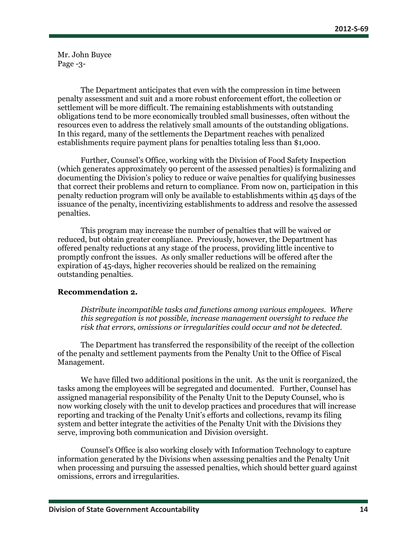Mr. John Buyce Page -3-

The Department anticipates that even with the compression in time between penalty assessment and suit and a more robust enforcement effort, the collection or settlement will be more difficult. The remaining establishments with outstanding obligations tend to be more economically troubled small businesses, often without the resources even to address the relatively small amounts of the outstanding obligations. In this regard, many of the settlements the Department reaches with penalized establishments require payment plans for penalties totaling less than \$1,000.

Further, Counsel's Office, working with the Division of Food Safety Inspection (which generates approximately 90 percent of the assessed penalties) is formalizing and documenting the Division's policy to reduce or waive penalties for qualifying businesses that correct their problems and return to compliance. From now on, participation in this penalty reduction program will only be available to establishments within 45 days of the issuance of the penalty, incentivizing establishments to address and resolve the assessed penalties.

This program may increase the number of penalties that will be waived or reduced, but obtain greater compliance. Previously, however, the Department has offered penalty reductions at any stage of the process, providing little incentive to promptly confront the issues. As only smaller reductions will be offered after the expiration of 45-days, higher recoveries should be realized on the remaining outstanding penalties.

#### **Recommendation 2.**

*Distribute incompatible tasks and functions among various employees. Where this segregation is not possible, increase management oversight to reduce the risk that errors, omissions or irregularities could occur and not be detected.*

The Department has transferred the responsibility of the receipt of the collection of the penalty and settlement payments from the Penalty Unit to the Office of Fiscal Management.

We have filled two additional positions in the unit. As the unit is reorganized, the tasks among the employees will be segregated and documented. Further, Counsel has assigned managerial responsibility of the Penalty Unit to the Deputy Counsel, who is now working closely with the unit to develop practices and procedures that will increase reporting and tracking of the Penalty Unit's efforts and collections, revamp its filing system and better integrate the activities of the Penalty Unit with the Divisions they serve, improving both communication and Division oversight.

Counsel's Office is also working closely with Information Technology to capture information generated by the Divisions when assessing penalties and the Penalty Unit when processing and pursuing the assessed penalties, which should better guard against omissions, errors and irregularities.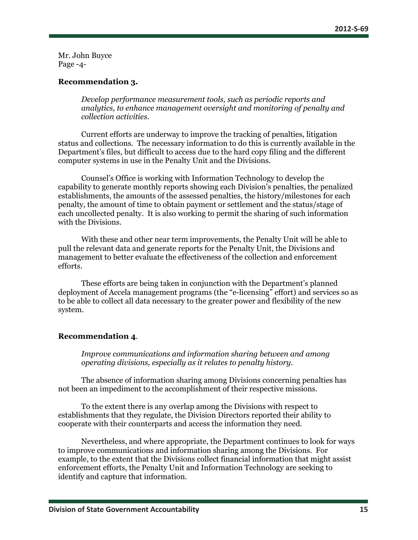Mr. John Buyce Page -4-

#### **Recommendation 3.**

*Develop performance measurement tools, such as periodic reports and analytics, to enhance management oversight and monitoring of penalty and collection activities.*

Current efforts are underway to improve the tracking of penalties, litigation status and collections. The necessary information to do this is currently available in the Department's files, but difficult to access due to the hard copy filing and the different computer systems in use in the Penalty Unit and the Divisions.

Counsel's Office is working with Information Technology to develop the capability to generate monthly reports showing each Division's penalties, the penalized establishments, the amounts of the assessed penalties, the history/milestones for each penalty, the amount of time to obtain payment or settlement and the status/stage of each uncollected penalty. It is also working to permit the sharing of such information with the Divisions.

With these and other near term improvements, the Penalty Unit will be able to pull the relevant data and generate reports for the Penalty Unit, the Divisions and management to better evaluate the effectiveness of the collection and enforcement efforts.

These efforts are being taken in conjunction with the Department's planned deployment of Accela management programs (the "e-licensing" effort) and services so as to be able to collect all data necessary to the greater power and flexibility of the new system.

#### **Recommendation 4**.

*Improve communications and information sharing between and among operating divisions, especially as it relates to penalty history.*

The absence of information sharing among Divisions concerning penalties has not been an impediment to the accomplishment of their respective missions.

To the extent there is any overlap among the Divisions with respect to establishments that they regulate, the Division Directors reported their ability to cooperate with their counterparts and access the information they need.

Nevertheless, and where appropriate, the Department continues to look for ways to improve communications and information sharing among the Divisions. For example, to the extent that the Divisions collect financial information that might assist enforcement efforts, the Penalty Unit and Information Technology are seeking to identify and capture that information.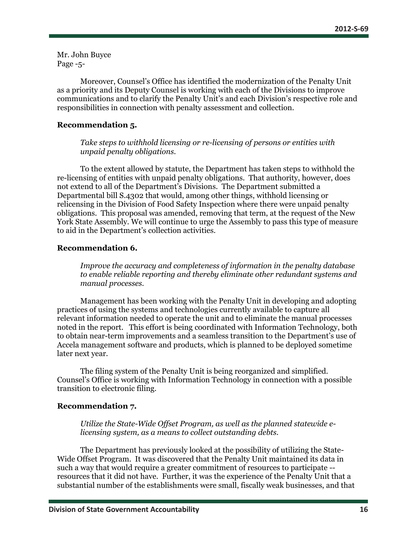Mr. John Buyce Page -5-

Moreover, Counsel's Office has identified the modernization of the Penalty Unit as a priority and its Deputy Counsel is working with each of the Divisions to improve communications and to clarify the Penalty Unit's and each Division's respective role and responsibilities in connection with penalty assessment and collection.

#### **Recommendation 5.**

*Take steps to withhold licensing or re-licensing of persons or entities with unpaid penalty obligations.*

To the extent allowed by statute, the Department has taken steps to withhold the re-licensing of entities with unpaid penalty obligations. That authority, however, does not extend to all of the Department's Divisions. The Department submitted a Departmental bill S.4302 that would, among other things, withhold licensing or relicensing in the Division of Food Safety Inspection where there were unpaid penalty obligations. This proposal was amended, removing that term, at the request of the New York State Assembly. We will continue to urge the Assembly to pass this type of measure to aid in the Department's collection activities.

#### **Recommendation 6.**

*Improve the accuracy and completeness of information in the penalty database to enable reliable reporting and thereby eliminate other redundant systems and manual processes.*

Management has been working with the Penalty Unit in developing and adopting practices of using the systems and technologies currently available to capture all relevant information needed to operate the unit and to eliminate the manual processes noted in the report. This effort is being coordinated with Information Technology, both to obtain near-term improvements and a seamless transition to the Department's use of Accela management software and products, which is planned to be deployed sometime later next year.

The filing system of the Penalty Unit is being reorganized and simplified. Counsel's Office is working with Information Technology in connection with a possible transition to electronic filing.

#### **Recommendation 7.**

*Utilize the State-Wide Offset Program, as well as the planned statewide elicensing system, as a means to collect outstanding debts.*

The Department has previously looked at the possibility of utilizing the State-Wide Offset Program. It was discovered that the Penalty Unit maintained its data in such a way that would require a greater commitment of resources to participate - resources that it did not have. Further, it was the experience of the Penalty Unit that a substantial number of the establishments were small, fiscally weak businesses, and that